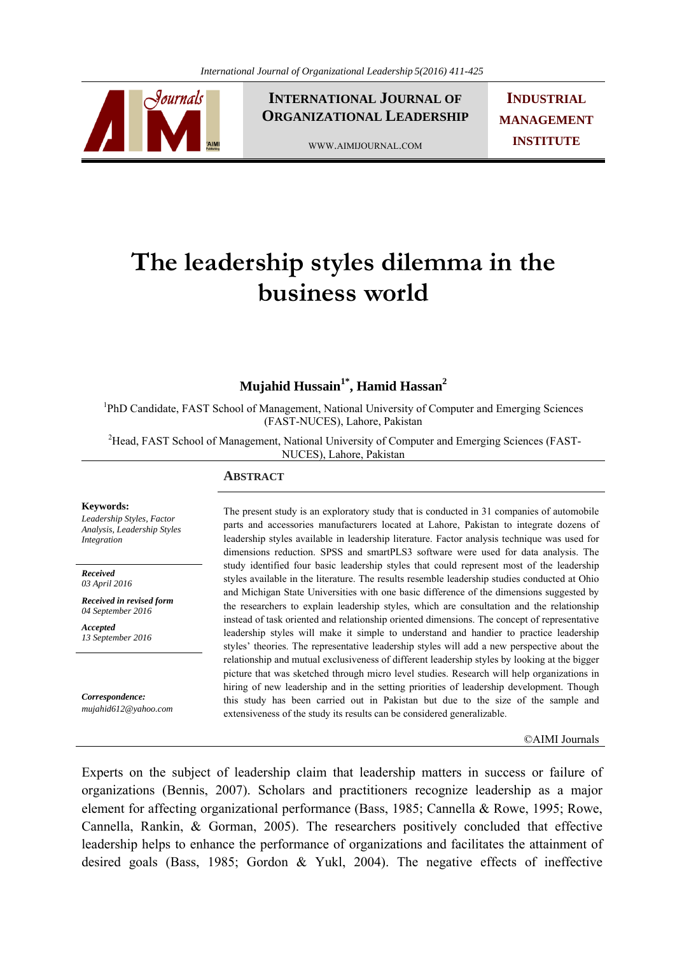

**INTERNATIONAL JOURNAL OF ORGANIZATIONAL LEADERSHIP**

**INDUSTRIAL MANAGEMENT INSTITUTE**

WWW.AIMIJOURNAL.COM

# **The leadership styles dilemma in the business world**

# **Mujahid Hussain<sup>1\*</sup>, Hamid Hassan<sup>2</sup>**

<sup>1</sup>PhD Candidate, FAST School of Management, National University of Computer and Emerging Sciences (FAST-NUCES), Lahore, Pakistan

<sup>2</sup>Head, FAST School of Management, National University of Computer and Emerging Sciences (FAST-NUCES), Lahore, Pakistan

#### **ABSTRACT**

#### **Keywords:**

*Leadership Styles, Factor Analysis, Leadership Styles Integration*

*Received 03 April 2016* 

*Received in revised form 04 September 2016* 

*Accepted 13 September 2016*

*Correspondence: mujahid612@yahoo.com*

The present study is an exploratory study that is conducted in 31 companies of automobile parts and accessories manufacturers located at Lahore, Pakistan to integrate dozens of leadership styles available in leadership literature. Factor analysis technique was used for dimensions reduction. SPSS and smartPLS3 software were used for data analysis. The study identified four basic leadership styles that could represent most of the leadership styles available in the literature. The results resemble leadership studies conducted at Ohio and Michigan State Universities with one basic difference of the dimensions suggested by the researchers to explain leadership styles, which are consultation and the relationship instead of task oriented and relationship oriented dimensions. The concept of representative leadership styles will make it simple to understand and handier to practice leadership styles' theories. The representative leadership styles will add a new perspective about the relationship and mutual exclusiveness of different leadership styles by looking at the bigger picture that was sketched through micro level studies. Research will help organizations in hiring of new leadership and in the setting priorities of leadership development. Though this study has been carried out in Pakistan but due to the size of the sample and extensiveness of the study its results can be considered generalizable.

#### ©AIMI Journals

Experts on the subject of leadership claim that leadership matters in success or failure of organizations (Bennis, 2007). Scholars and practitioners recognize leadership as a major element for affecting organizational performance (Bass, 1985; Cannella & Rowe, 1995; Rowe, Cannella, Rankin, & Gorman, 2005). The researchers positively concluded that effective leadership helps to enhance the performance of organizations and facilitates the attainment of desired goals (Bass, 1985; Gordon & Yukl, 2004). The negative effects of ineffective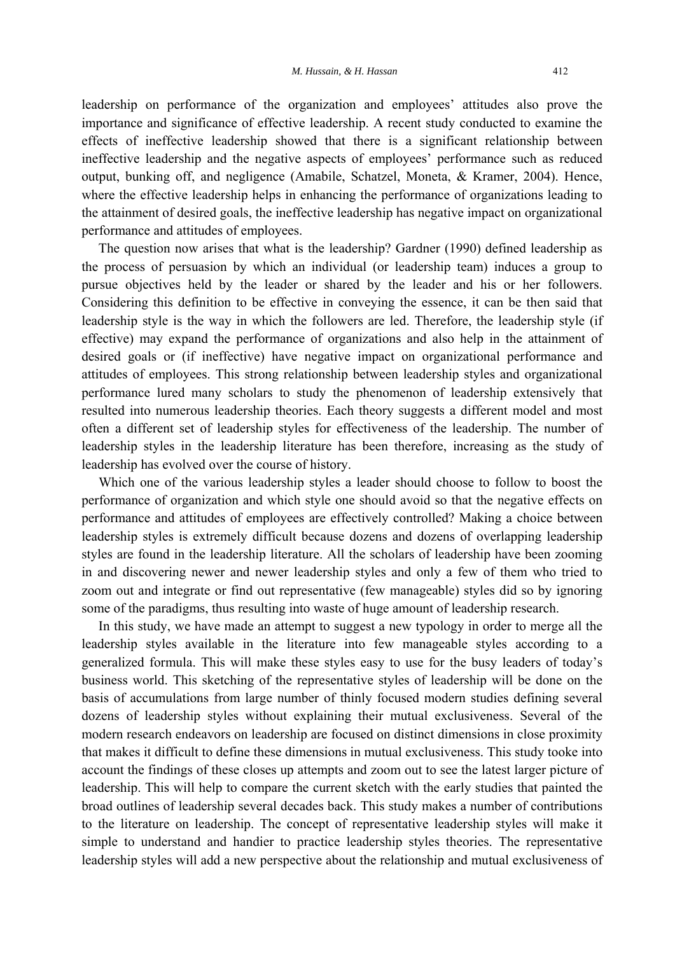leadership on performance of the organization and employees' attitudes also prove the importance and significance of effective leadership. A recent study conducted to examine the effects of ineffective leadership showed that there is a significant relationship between ineffective leadership and the negative aspects of employees' performance such as reduced output, bunking off, and negligence (Amabile, Schatzel, Moneta, & Kramer, 2004). Hence, where the effective leadership helps in enhancing the performance of organizations leading to the attainment of desired goals, the ineffective leadership has negative impact on organizational performance and attitudes of employees.

 The question now arises that what is the leadership? Gardner (1990) defined leadership as the process of persuasion by which an individual (or leadership team) induces a group to pursue objectives held by the leader or shared by the leader and his or her followers. Considering this definition to be effective in conveying the essence, it can be then said that leadership style is the way in which the followers are led. Therefore, the leadership style (if effective) may expand the performance of organizations and also help in the attainment of desired goals or (if ineffective) have negative impact on organizational performance and attitudes of employees. This strong relationship between leadership styles and organizational performance lured many scholars to study the phenomenon of leadership extensively that resulted into numerous leadership theories. Each theory suggests a different model and most often a different set of leadership styles for effectiveness of the leadership. The number of leadership styles in the leadership literature has been therefore, increasing as the study of leadership has evolved over the course of history.

 Which one of the various leadership styles a leader should choose to follow to boost the performance of organization and which style one should avoid so that the negative effects on performance and attitudes of employees are effectively controlled? Making a choice between leadership styles is extremely difficult because dozens and dozens of overlapping leadership styles are found in the leadership literature. All the scholars of leadership have been zooming in and discovering newer and newer leadership styles and only a few of them who tried to zoom out and integrate or find out representative (few manageable) styles did so by ignoring some of the paradigms, thus resulting into waste of huge amount of leadership research.

 In this study, we have made an attempt to suggest a new typology in order to merge all the leadership styles available in the literature into few manageable styles according to a generalized formula. This will make these styles easy to use for the busy leaders of today's business world. This sketching of the representative styles of leadership will be done on the basis of accumulations from large number of thinly focused modern studies defining several dozens of leadership styles without explaining their mutual exclusiveness. Several of the modern research endeavors on leadership are focused on distinct dimensions in close proximity that makes it difficult to define these dimensions in mutual exclusiveness. This study tooke into account the findings of these closes up attempts and zoom out to see the latest larger picture of leadership. This will help to compare the current sketch with the early studies that painted the broad outlines of leadership several decades back. This study makes a number of contributions to the literature on leadership. The concept of representative leadership styles will make it simple to understand and handier to practice leadership styles theories. The representative leadership styles will add a new perspective about the relationship and mutual exclusiveness of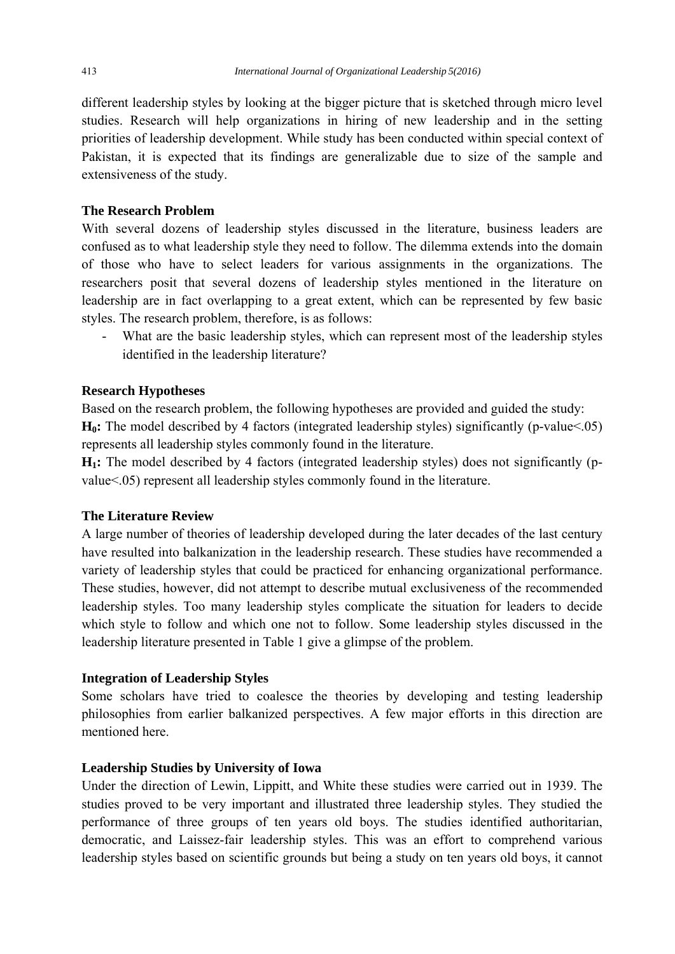different leadership styles by looking at the bigger picture that is sketched through micro level studies. Research will help organizations in hiring of new leadership and in the setting priorities of leadership development. While study has been conducted within special context of Pakistan, it is expected that its findings are generalizable due to size of the sample and extensiveness of the study.

### **The Research Problem**

With several dozens of leadership styles discussed in the literature, business leaders are confused as to what leadership style they need to follow. The dilemma extends into the domain of those who have to select leaders for various assignments in the organizations. The researchers posit that several dozens of leadership styles mentioned in the literature on leadership are in fact overlapping to a great extent, which can be represented by few basic styles. The research problem, therefore, is as follows:

What are the basic leadership styles, which can represent most of the leadership styles identified in the leadership literature?

#### **Research Hypotheses**

Based on the research problem, the following hypotheses are provided and guided the study: **H<sub>0</sub>:** The model described by 4 factors (integrated leadership styles) significantly (p-value <.05) represents all leadership styles commonly found in the literature.

**H1:** The model described by 4 factors (integrated leadership styles) does not significantly (pvalue<.05) represent all leadership styles commonly found in the literature.

#### **The Literature Review**

A large number of theories of leadership developed during the later decades of the last century have resulted into balkanization in the leadership research. These studies have recommended a variety of leadership styles that could be practiced for enhancing organizational performance. These studies, however, did not attempt to describe mutual exclusiveness of the recommended leadership styles. Too many leadership styles complicate the situation for leaders to decide which style to follow and which one not to follow. Some leadership styles discussed in the leadership literature presented in Table 1 give a glimpse of the problem.

#### **Integration of Leadership Styles**

Some scholars have tried to coalesce the theories by developing and testing leadership philosophies from earlier balkanized perspectives. A few major efforts in this direction are mentioned here.

#### **Leadership Studies by University of Iowa**

Under the direction of Lewin, Lippitt, and White these studies were carried out in 1939. The studies proved to be very important and illustrated three leadership styles. They studied the performance of three groups of ten years old boys. The studies identified authoritarian, democratic, and Laissez-fair leadership styles. This was an effort to comprehend various leadership styles based on scientific grounds but being a study on ten years old boys, it cannot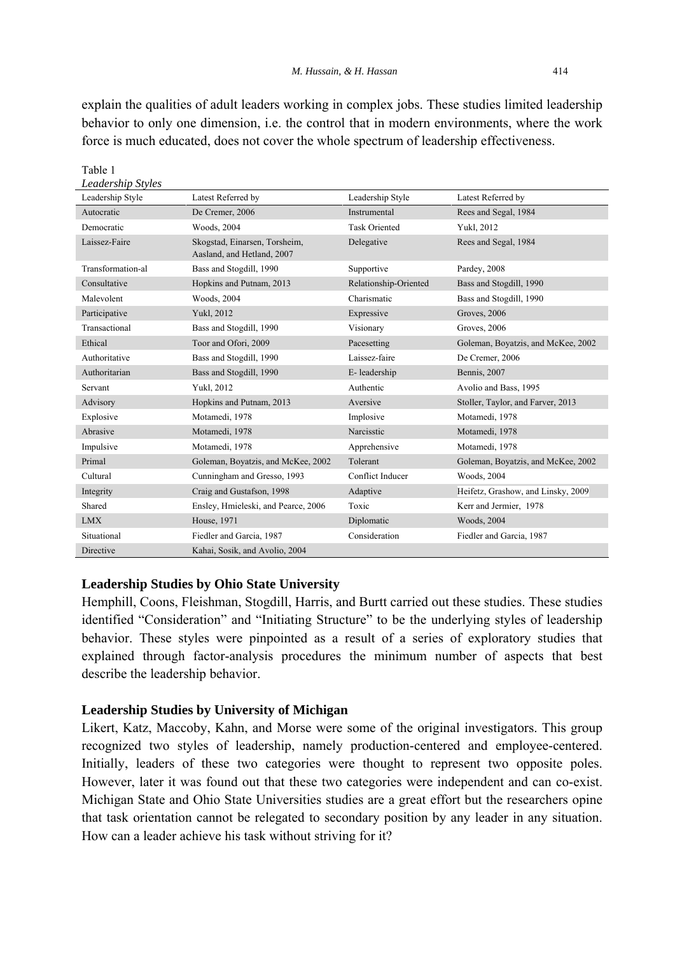explain the qualities of adult leaders working in complex jobs. These studies limited leadership behavior to only one dimension, i.e. the control that in modern environments, where the work force is much educated, does not cover the whole spectrum of leadership effectiveness.

| Leadership Styles |                                                             |                       |                                    |  |
|-------------------|-------------------------------------------------------------|-----------------------|------------------------------------|--|
| Leadership Style  | Latest Referred by                                          | Leadership Style      | Latest Referred by                 |  |
| Autocratic        | De Cremer, 2006                                             | Instrumental          | Rees and Segal, 1984               |  |
| Democratic        | Woods, 2004                                                 | <b>Task Oriented</b>  | Yukl, 2012                         |  |
| Laissez-Faire     | Skogstad, Einarsen, Torsheim,<br>Aasland, and Hetland, 2007 | Delegative            | Rees and Segal, 1984               |  |
| Transformation-al | Bass and Stogdill, 1990                                     | Supportive            | Pardey, 2008                       |  |
| Consultative      | Hopkins and Putnam, 2013                                    | Relationship-Oriented | Bass and Stogdill, 1990            |  |
| Malevolent        | Woods, 2004                                                 | Charismatic           | Bass and Stogdill, 1990            |  |
| Participative     | Yukl, 2012                                                  | Expressive            | Groves, 2006                       |  |
| Transactional     | Bass and Stogdill, 1990                                     | Visionary             | Groves, 2006                       |  |
| Ethical           | Toor and Ofori, 2009                                        | Pacesetting           | Goleman, Boyatzis, and McKee, 2002 |  |
| Authoritative     | Bass and Stogdill, 1990                                     | Laissez-faire         | De Cremer, 2006                    |  |
| Authoritarian     | Bass and Stogdill, 1990                                     | E-leadership          | Bennis, 2007                       |  |
| Servant           | Yukl, 2012                                                  | Authentic             | Avolio and Bass, 1995              |  |
| Advisory          | Hopkins and Putnam, 2013                                    | Aversive              | Stoller, Taylor, and Farver, 2013  |  |
| Explosive         | Motamedi, 1978                                              | Implosive             | Motamedi, 1978                     |  |
| Abrasive          | Motamedi, 1978                                              | Narcisstic            | Motamedi, 1978                     |  |
| Impulsive         | Motamedi, 1978                                              | Apprehensive          | Motamedi, 1978                     |  |
| Primal            | Goleman, Boyatzis, and McKee, 2002                          | Tolerant              | Goleman, Boyatzis, and McKee, 2002 |  |
| Cultural          | Cunningham and Gresso, 1993                                 | Conflict Inducer      | Woods, 2004                        |  |
| Integrity         | Craig and Gustafson, 1998                                   | Adaptive              | Heifetz, Grashow, and Linsky, 2009 |  |
| Shared            | Ensley, Hmieleski, and Pearce, 2006                         | Toxic                 | Kerr and Jermier, 1978             |  |
| <b>LMX</b>        | House, 1971                                                 | Diplomatic            | Woods, 2004                        |  |
| Situational       | Fiedler and Garcia, 1987                                    | Consideration         | Fiedler and Garcia, 1987           |  |
| Directive         | Kahai, Sosik, and Avolio, 2004                              |                       |                                    |  |

#### **Leadership Studies by Ohio State University**

Table 1

Hemphill, Coons, Fleishman, Stogdill, Harris, and Burtt carried out these studies. These studies identified "Consideration" and "Initiating Structure" to be the underlying styles of leadership behavior. These styles were pinpointed as a result of a series of exploratory studies that explained through factor-analysis procedures the minimum number of aspects that best describe the leadership behavior.

#### **Leadership Studies by University of Michigan**

Likert, Katz, Maccoby, Kahn, and Morse were some of the original investigators. This group recognized two styles of leadership, namely production-centered and employee-centered. Initially, leaders of these two categories were thought to represent two opposite poles. However, later it was found out that these two categories were independent and can co-exist. Michigan State and Ohio State Universities studies are a great effort but the researchers opine that task orientation cannot be relegated to secondary position by any leader in any situation. How can a leader achieve his task without striving for it?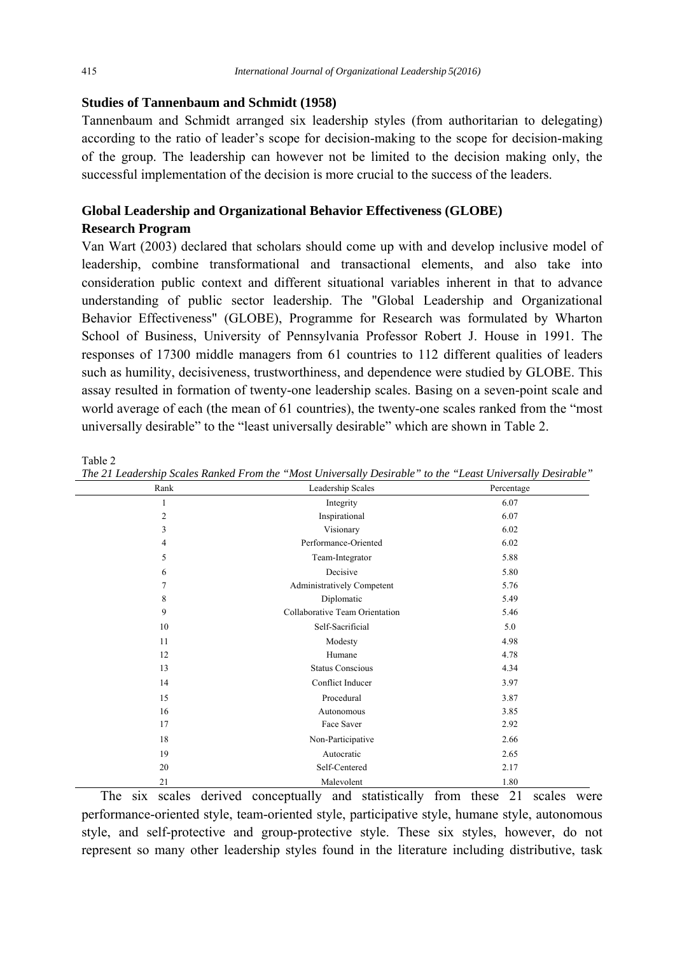### **Studies of Tannenbaum and Schmidt (1958)**

Tannenbaum and Schmidt arranged six leadership styles (from authoritarian to delegating) according to the ratio of leader's scope for decision-making to the scope for decision-making of the group. The leadership can however not be limited to the decision making only, the successful implementation of the decision is more crucial to the success of the leaders.

# **Global Leadership and Organizational Behavior Effectiveness (GLOBE) Research Program**

Van Wart (2003) declared that scholars should come up with and develop inclusive model of leadership, combine transformational and transactional elements, and also take into consideration public context and different situational variables inherent in that to advance understanding of public sector leadership. The "Global Leadership and Organizational Behavior Effectiveness" (GLOBE), Programme for Research was formulated by Wharton School of Business, University of Pennsylvania Professor Robert J. House in 1991. The responses of 17300 middle managers from 61 countries to 112 different qualities of leaders such as humility, decisiveness, trustworthiness, and dependence were studied by GLOBE. This assay resulted in formation of twenty-one leadership scales. Basing on a seven-point scale and world average of each (the mean of 61 countries), the twenty-one scales ranked from the "most universally desirable" to the "least universally desirable" which are shown in Table 2.

| Rank           | Leadership Scales              | Percentage |
|----------------|--------------------------------|------------|
| 1              | Integrity                      | 6.07       |
| $\overline{c}$ | Inspirational                  | 6.07       |
| 3              | Visionary                      | 6.02       |
| $\overline{4}$ | Performance-Oriented           | 6.02       |
| 5              | Team-Integrator                | 5.88       |
| 6              | Decisive                       | 5.80       |
| 7              | Administratively Competent     | 5.76       |
| 8              | Diplomatic                     | 5.49       |
| 9              | Collaborative Team Orientation | 5.46       |
| 10             | Self-Sacrificial               | 5.0        |
| 11             | Modesty                        | 4.98       |
| 12             | Humane                         | 4.78       |
| 13             | <b>Status Conscious</b>        | 4.34       |
| 14             | Conflict Inducer               | 3.97       |
| 15             | Procedural                     | 3.87       |
| 16             | Autonomous                     | 3.85       |
| 17             | Face Saver                     | 2.92       |
| 18             | Non-Participative              | 2.66       |
| 19             | Autocratic                     | 2.65       |
| 20             | Self-Centered                  | 2.17       |
| 21             | Malevolent                     | 1.80       |

Table 2 *The 21 Leadership Scales Ranked From the "Most Universally Desirable" to the "Least Universally Desirable"* 

 The six scales derived conceptually and statistically from these 21 scales were performance-oriented style, team-oriented style, participative style, humane style, autonomous style, and self-protective and group-protective style. These six styles, however, do not represent so many other leadership styles found in the literature including distributive, task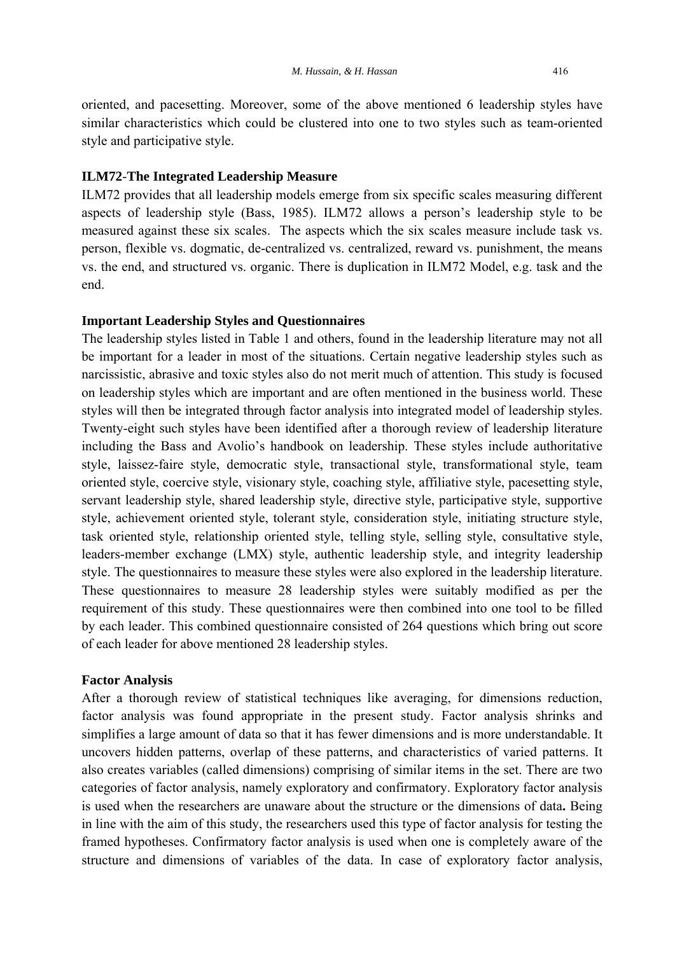oriented, and pacesetting. Moreover, some of the above mentioned 6 leadership styles have similar characteristics which could be clustered into one to two styles such as team-oriented style and participative style.

#### **ILM72**-**The Integrated Leadership Measure**

ILM72 provides that all leadership models emerge from six specific scales measuring different aspects of leadership style (Bass, 1985). ILM72 allows a person's leadership style to be measured against these six scales. The aspects which the six scales measure include task vs. person, flexible vs. dogmatic, de-centralized vs. centralized, reward vs. punishment, the means vs. the end, and structured vs. organic. There is duplication in ILM72 Model, e.g. task and the end.

#### **Important Leadership Styles and Questionnaires**

The leadership styles listed in Table 1 and others, found in the leadership literature may not all be important for a leader in most of the situations. Certain negative leadership styles such as narcissistic, abrasive and toxic styles also do not merit much of attention. This study is focused on leadership styles which are important and are often mentioned in the business world. These styles will then be integrated through factor analysis into integrated model of leadership styles. Twenty-eight such styles have been identified after a thorough review of leadership literature including the Bass and Avolio's handbook on leadership. These styles include authoritative style, laissez-faire style, democratic style, transactional style, transformational style, team oriented style, coercive style, visionary style, coaching style, affiliative style, pacesetting style, servant leadership style, shared leadership style, directive style, participative style, supportive style, achievement oriented style, tolerant style, consideration style, initiating structure style, task oriented style, relationship oriented style, telling style, selling style, consultative style, leaders-member exchange (LMX) style, authentic leadership style, and integrity leadership style. The questionnaires to measure these styles were also explored in the leadership literature. These questionnaires to measure 28 leadership styles were suitably modified as per the requirement of this study. These questionnaires were then combined into one tool to be filled by each leader. This combined questionnaire consisted of 264 questions which bring out score of each leader for above mentioned 28 leadership styles.

#### **Factor Analysis**

After a thorough review of statistical techniques like averaging, for dimensions reduction, factor analysis was found appropriate in the present study. Factor analysis shrinks and simplifies a large amount of data so that it has fewer dimensions and is more understandable. It uncovers hidden patterns, overlap of these patterns, and characteristics of varied patterns. It also creates variables (called dimensions) comprising of similar items in the set. There are two categories of factor analysis, namely exploratory and confirmatory. Exploratory factor analysis is used when the researchers are unaware about the structure or the dimensions of data**.** Being in line with the aim of this study, the researchers used this type of factor analysis for testing the framed hypotheses. Confirmatory factor analysis is used when one is completely aware of the structure and dimensions of variables of the data. In case of exploratory factor analysis,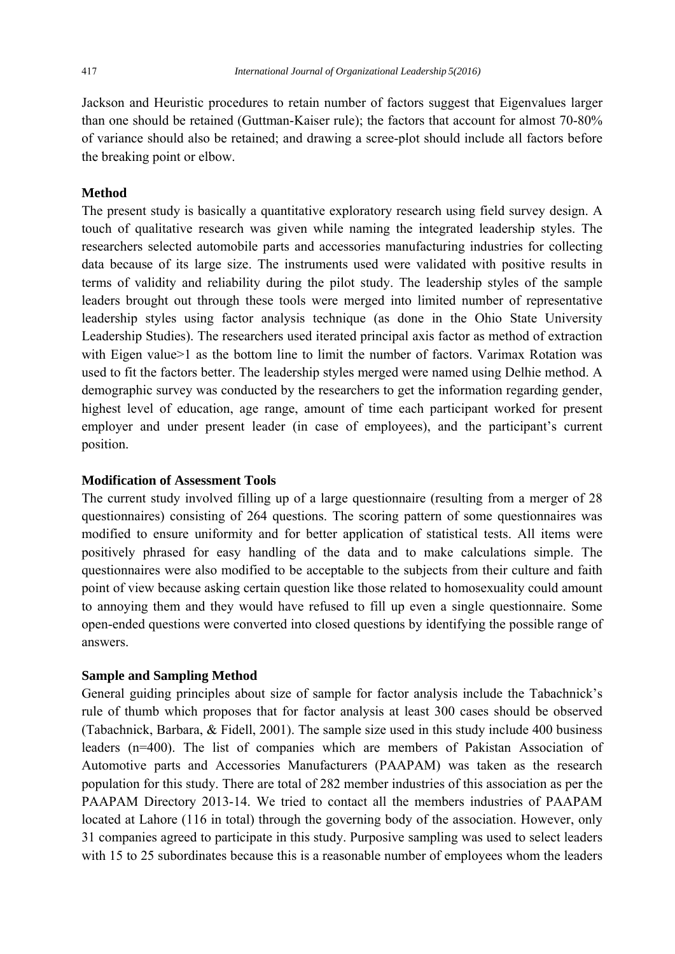Jackson and Heuristic procedures to retain number of factors suggest that Eigenvalues larger than one should be retained (Guttman-Kaiser rule); the factors that account for almost 70-80% of variance should also be retained; and drawing a scree-plot should include all factors before the breaking point or elbow.

## **Method**

The present study is basically a quantitative exploratory research using field survey design. A touch of qualitative research was given while naming the integrated leadership styles. The researchers selected automobile parts and accessories manufacturing industries for collecting data because of its large size. The instruments used were validated with positive results in terms of validity and reliability during the pilot study. The leadership styles of the sample leaders brought out through these tools were merged into limited number of representative leadership styles using factor analysis technique (as done in the Ohio State University Leadership Studies). The researchers used iterated principal axis factor as method of extraction with Eigen value>1 as the bottom line to limit the number of factors. Varimax Rotation was used to fit the factors better. The leadership styles merged were named using Delhie method. A demographic survey was conducted by the researchers to get the information regarding gender, highest level of education, age range, amount of time each participant worked for present employer and under present leader (in case of employees), and the participant's current position.

### **Modification of Assessment Tools**

The current study involved filling up of a large questionnaire (resulting from a merger of 28 questionnaires) consisting of 264 questions. The scoring pattern of some questionnaires was modified to ensure uniformity and for better application of statistical tests. All items were positively phrased for easy handling of the data and to make calculations simple. The questionnaires were also modified to be acceptable to the subjects from their culture and faith point of view because asking certain question like those related to homosexuality could amount to annoying them and they would have refused to fill up even a single questionnaire. Some open-ended questions were converted into closed questions by identifying the possible range of answers.

### **Sample and Sampling Method**

General guiding principles about size of sample for factor analysis include the Tabachnick's rule of thumb which proposes that for factor analysis at least 300 cases should be observed (Tabachnick, Barbara, & Fidell, 2001). The sample size used in this study include 400 business leaders (n=400). The list of companies which are members of Pakistan Association of Automotive parts and Accessories Manufacturers (PAAPAM) was taken as the research population for this study. There are total of 282 member industries of this association as per the PAAPAM Directory 2013-14. We tried to contact all the members industries of PAAPAM located at Lahore (116 in total) through the governing body of the association. However, only 31 companies agreed to participate in this study. Purposive sampling was used to select leaders with 15 to 25 subordinates because this is a reasonable number of employees whom the leaders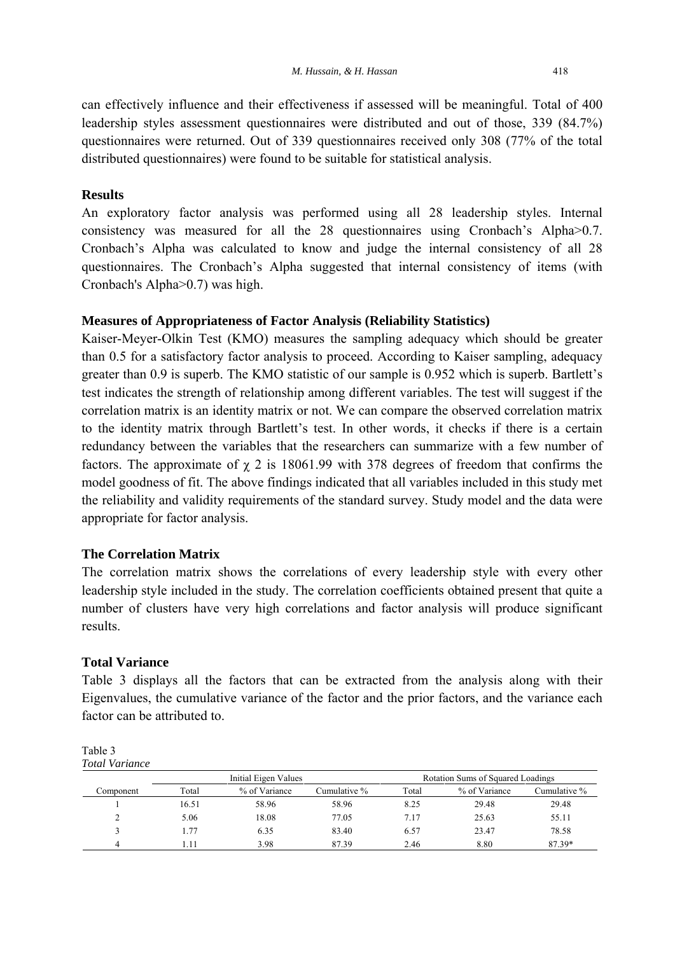can effectively influence and their effectiveness if assessed will be meaningful. Total of 400 leadership styles assessment questionnaires were distributed and out of those, 339 (84.7%) questionnaires were returned. Out of 339 questionnaires received only 308 (77% of the total distributed questionnaires) were found to be suitable for statistical analysis.

## **Results**

An exploratory factor analysis was performed using all 28 leadership styles. Internal consistency was measured for all the 28 questionnaires using Cronbach's Alpha>0.7. Cronbach's Alpha was calculated to know and judge the internal consistency of all 28 questionnaires. The Cronbach's Alpha suggested that internal consistency of items (with Cronbach's Alpha>0.7) was high.

#### **Measures of Appropriateness of Factor Analysis (Reliability Statistics)**

Kaiser-Meyer-Olkin Test (KMO) measures the sampling adequacy which should be greater than 0.5 for a satisfactory factor analysis to proceed. According to Kaiser sampling, adequacy greater than 0.9 is superb. The KMO statistic of our sample is 0.952 which is superb. Bartlett's test indicates the strength of relationship among different variables. The test will suggest if the correlation matrix is an identity matrix or not. We can compare the observed correlation matrix to the identity matrix through Bartlett's test. In other words, it checks if there is a certain redundancy between the variables that the researchers can summarize with a few number of factors. The approximate of  $\chi$  2 is 18061.99 with 378 degrees of freedom that confirms the model goodness of fit. The above findings indicated that all variables included in this study met the reliability and validity requirements of the standard survey. Study model and the data were appropriate for factor analysis.

#### **The Correlation Matrix**

The correlation matrix shows the correlations of every leadership style with every other leadership style included in the study. The correlation coefficients obtained present that quite a number of clusters have very high correlations and factor analysis will produce significant results.

### **Total Variance**

Table 3 displays all the factors that can be extracted from the analysis along with their Eigenvalues, the cumulative variance of the factor and the prior factors, and the variance each factor can be attributed to.

|           |       | Initial Eigen Values |              | Rotation Sums of Squared Loadings |               |              |
|-----------|-------|----------------------|--------------|-----------------------------------|---------------|--------------|
| Component | Total | % of Variance        | Cumulative % | Total                             | % of Variance | Cumulative % |
|           | 16.51 | 58.96                | 58.96        | 8.25                              | 29.48         | 29.48        |
| ↑         | 5.06  | 18.08                | 77.05        | 7.17                              | 25.63         | 55.11        |
|           | 1.77  | 6.35                 | 83.40        | 6.57                              | 23.47         | 78.58        |
|           | .11   | 3.98                 | 87.39        | 2.46                              | 8.80          | 87.39*       |

Table 3 *Total Variance*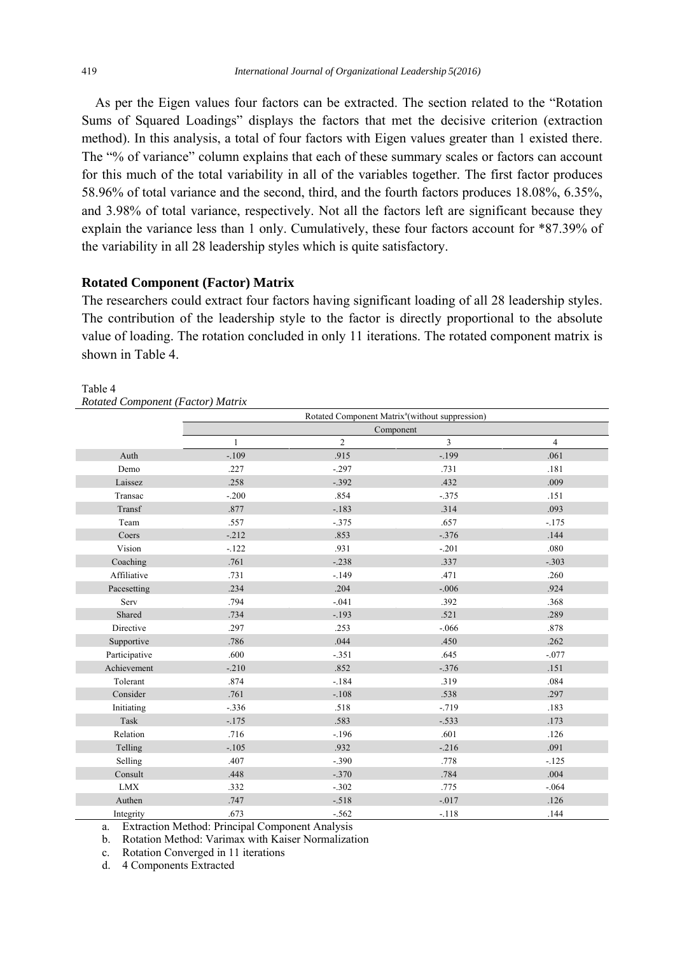As per the Eigen values four factors can be extracted. The section related to the "Rotation Sums of Squared Loadings" displays the factors that met the decisive criterion (extraction method). In this analysis, a total of four factors with Eigen values greater than 1 existed there. The "% of variance" column explains that each of these summary scales or factors can account for this much of the total variability in all of the variables together. The first factor produces 58.96% of total variance and the second, third, and the fourth factors produces 18.08%, 6.35%, and 3.98% of total variance, respectively. Not all the factors left are significant because they explain the variance less than 1 only. Cumulatively, these four factors account for \*87.39% of the variability in all 28 leadership styles which is quite satisfactory.

#### **Rotated Component (Factor) Matrix**

The researchers could extract four factors having significant loading of all 28 leadership styles. The contribution of the leadership style to the factor is directly proportional to the absolute value of loading. The rotation concluded in only 11 iterations. The rotated component matrix is shown in Table 4.

|               | Rotated Component Matrix <sup>a</sup> (without suppression) |                |                |                |
|---------------|-------------------------------------------------------------|----------------|----------------|----------------|
|               |                                                             |                | Component      |                |
|               | $\mathbf{1}$                                                | $\overline{2}$ | $\overline{3}$ | $\overline{4}$ |
| Auth          | $-.109$                                                     | .915           | $-199$         | .061           |
| Demo          | .227                                                        | $-.297$        | .731           | .181           |
| Laissez       | .258                                                        | $-.392$        | .432           | .009           |
| Transac       | $-.200$                                                     | .854           | $-.375$        | .151           |
| Transf        | .877                                                        | $-.183$        | .314           | .093           |
| Team          | .557                                                        | $-.375$        | .657           | $-.175$        |
| Coers         | $-212$                                                      | .853           | $-.376$        | .144           |
| Vision        | $-122$                                                      | .931           | $-.201$        | .080           |
| Coaching      | .761                                                        | $-.238$        | .337           | $-.303$        |
| Affiliative   | .731                                                        | $-149$         | .471           | .260           |
| Pacesetting   | .234                                                        | .204           | $-.006$        | .924           |
| Serv          | .794                                                        | $-.041$        | .392           | .368           |
| Shared        | .734                                                        | $-.193$        | .521           | .289           |
| Directive     | .297                                                        | .253           | $-.066$        | .878           |
| Supportive    | .786                                                        | .044           | .450           | .262           |
| Participative | .600                                                        | $-.351$        | .645           | $-.077$        |
| Achievement   | $-.210$                                                     | .852           | $-.376$        | .151           |
| Tolerant      | .874                                                        | $-184$         | .319           | .084           |
| Consider      | .761                                                        | $-.108$        | .538           | .297           |
| Initiating    | $-.336$                                                     | .518           | $-.719$        | .183           |
| Task          | $-.175$                                                     | .583           | $-.533$        | .173           |
| Relation      | .716                                                        | $-.196$        | .601           | .126           |
| Telling       | $-.105$                                                     | .932           | $-.216$        | .091           |
| Selling       | .407                                                        | $-.390$        | .778           | $-125$         |
| Consult       | .448                                                        | $-.370$        | .784           | .004           |
| <b>LMX</b>    | .332                                                        | $-.302$        | .775           | $-.064$        |
| Authen        | .747                                                        | $-.518$        | $-.017$        | .126           |
| Integrity     | .673                                                        | $-.562$        | $-.118$        | .144           |

# Table 4

*Rotated Component (Factor) Matrix* 

a. Extraction Method: Principal Component Analysis

b. Rotation Method: Varimax with Kaiser Normalization

c. Rotation Converged in 11 iterations

d. 4 Components Extracted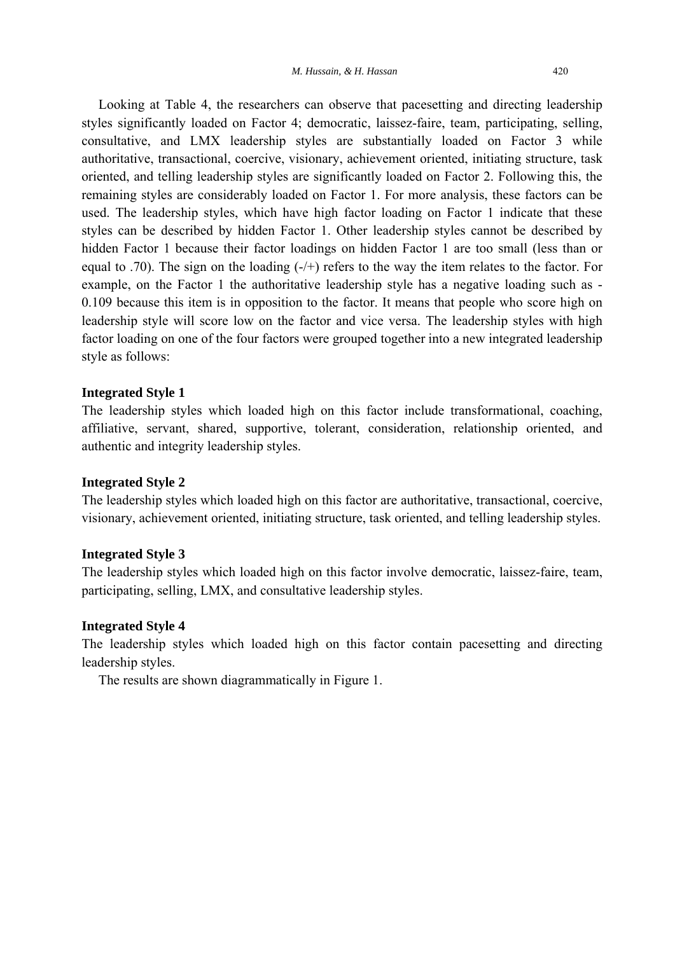Looking at Table 4, the researchers can observe that pacesetting and directing leadership styles significantly loaded on Factor 4; democratic, laissez-faire, team, participating, selling, consultative, and LMX leadership styles are substantially loaded on Factor 3 while authoritative, transactional, coercive, visionary, achievement oriented, initiating structure, task oriented, and telling leadership styles are significantly loaded on Factor 2. Following this, the remaining styles are considerably loaded on Factor 1. For more analysis, these factors can be used. The leadership styles, which have high factor loading on Factor 1 indicate that these styles can be described by hidden Factor 1. Other leadership styles cannot be described by hidden Factor 1 because their factor loadings on hidden Factor 1 are too small (less than or equal to .70). The sign on the loading (-/+) refers to the way the item relates to the factor. For example, on the Factor 1 the authoritative leadership style has a negative loading such as - 0.109 because this item is in opposition to the factor. It means that people who score high on leadership style will score low on the factor and vice versa. The leadership styles with high factor loading on one of the four factors were grouped together into a new integrated leadership style as follows:

#### **Integrated Style 1**

The leadership styles which loaded high on this factor include transformational, coaching, affiliative, servant, shared, supportive, tolerant, consideration, relationship oriented, and authentic and integrity leadership styles.

#### **Integrated Style 2**

The leadership styles which loaded high on this factor are authoritative, transactional, coercive, visionary, achievement oriented, initiating structure, task oriented, and telling leadership styles.

#### **Integrated Style 3**

The leadership styles which loaded high on this factor involve democratic, laissez-faire, team, participating, selling, LMX, and consultative leadership styles.

#### **Integrated Style 4**

The leadership styles which loaded high on this factor contain pacesetting and directing leadership styles.

The results are shown diagrammatically in Figure 1.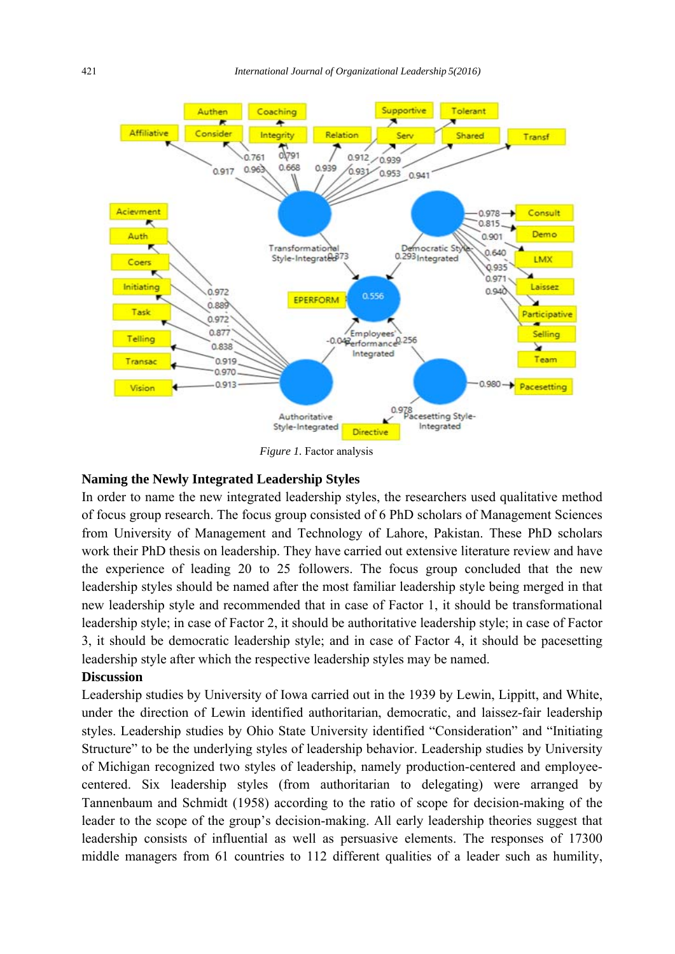

 *Figure 1.* Factor analysis

#### **Naming the Newly Integrated Leadership Styles**

In order to name the new integrated leadership styles, the researchers used qualitative method of focus group research. The focus group consisted of 6 PhD scholars of Management Sciences from University of Management and Technology of Lahore, Pakistan. These PhD scholars work their PhD thesis on leadership. They have carried out extensive literature review and have the experience of leading 20 to 25 followers. The focus group concluded that the new leadership styles should be named after the most familiar leadership style being merged in that new leadership style and recommended that in case of Factor 1, it should be transformational leadership style; in case of Factor 2, it should be authoritative leadership style; in case of Factor 3, it should be democratic leadership style; and in case of Factor 4, it should be pacesetting leadership style after which the respective leadership styles may be named.

### **Discussion**

Leadership studies by University of Iowa carried out in the 1939 by Lewin, Lippitt, and White, under the direction of Lewin identified authoritarian, democratic, and laissez-fair leadership styles. Leadership studies by Ohio State University identified "Consideration" and "Initiating Structure" to be the underlying styles of leadership behavior. Leadership studies by University of Michigan recognized two styles of leadership, namely production-centered and employeecentered. Six leadership styles (from authoritarian to delegating) were arranged by Tannenbaum and Schmidt (1958) according to the ratio of scope for decision-making of the leader to the scope of the group's decision-making. All early leadership theories suggest that leadership consists of influential as well as persuasive elements. The responses of 17300 middle managers from 61 countries to 112 different qualities of a leader such as humility,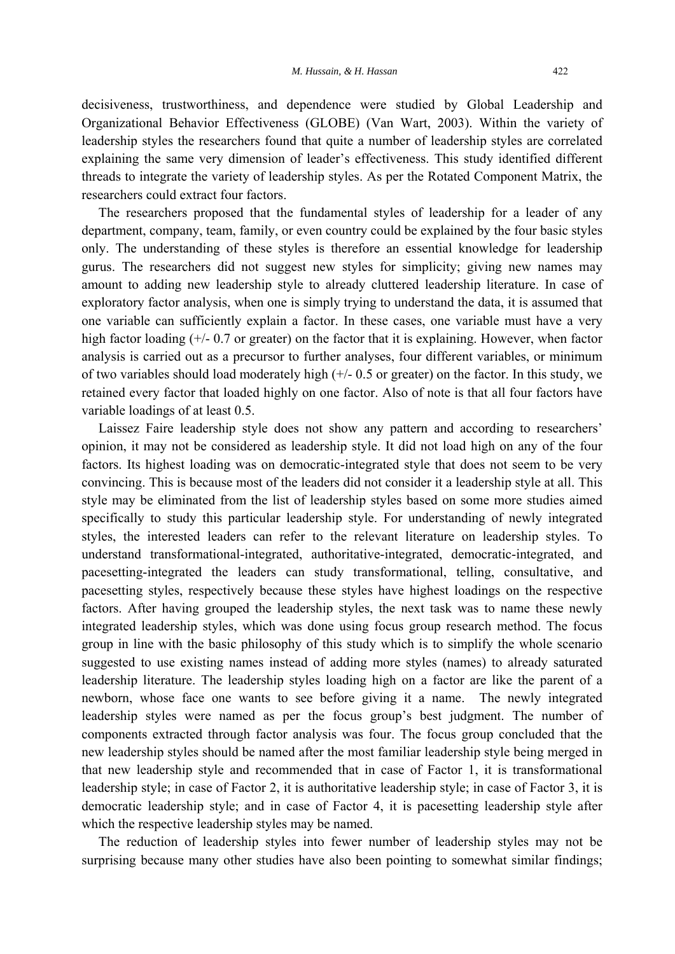decisiveness, trustworthiness, and dependence were studied by Global Leadership and Organizational Behavior Effectiveness (GLOBE) (Van Wart, 2003). Within the variety of leadership styles the researchers found that quite a number of leadership styles are correlated explaining the same very dimension of leader's effectiveness. This study identified different threads to integrate the variety of leadership styles. As per the Rotated Component Matrix, the researchers could extract four factors.

 The researchers proposed that the fundamental styles of leadership for a leader of any department, company, team, family, or even country could be explained by the four basic styles only. The understanding of these styles is therefore an essential knowledge for leadership gurus. The researchers did not suggest new styles for simplicity; giving new names may amount to adding new leadership style to already cluttered leadership literature. In case of exploratory factor analysis, when one is simply trying to understand the data, it is assumed that one variable can sufficiently explain a factor. In these cases, one variable must have a very high factor loading ( $+/- 0.7$  or greater) on the factor that it is explaining. However, when factor analysis is carried out as a precursor to further analyses, four different variables, or minimum of two variables should load moderately high (+/- 0.5 or greater) on the factor. In this study, we retained every factor that loaded highly on one factor. Also of note is that all four factors have variable loadings of at least 0.5.

 Laissez Faire leadership style does not show any pattern and according to researchers' opinion, it may not be considered as leadership style. It did not load high on any of the four factors. Its highest loading was on democratic-integrated style that does not seem to be very convincing. This is because most of the leaders did not consider it a leadership style at all. This style may be eliminated from the list of leadership styles based on some more studies aimed specifically to study this particular leadership style. For understanding of newly integrated styles, the interested leaders can refer to the relevant literature on leadership styles. To understand transformational-integrated, authoritative-integrated, democratic-integrated, and pacesetting-integrated the leaders can study transformational, telling, consultative, and pacesetting styles, respectively because these styles have highest loadings on the respective factors. After having grouped the leadership styles, the next task was to name these newly integrated leadership styles, which was done using focus group research method. The focus group in line with the basic philosophy of this study which is to simplify the whole scenario suggested to use existing names instead of adding more styles (names) to already saturated leadership literature. The leadership styles loading high on a factor are like the parent of a newborn, whose face one wants to see before giving it a name. The newly integrated leadership styles were named as per the focus group's best judgment. The number of components extracted through factor analysis was four. The focus group concluded that the new leadership styles should be named after the most familiar leadership style being merged in that new leadership style and recommended that in case of Factor 1, it is transformational leadership style; in case of Factor 2, it is authoritative leadership style; in case of Factor 3, it is democratic leadership style; and in case of Factor 4, it is pacesetting leadership style after which the respective leadership styles may be named.

 The reduction of leadership styles into fewer number of leadership styles may not be surprising because many other studies have also been pointing to somewhat similar findings;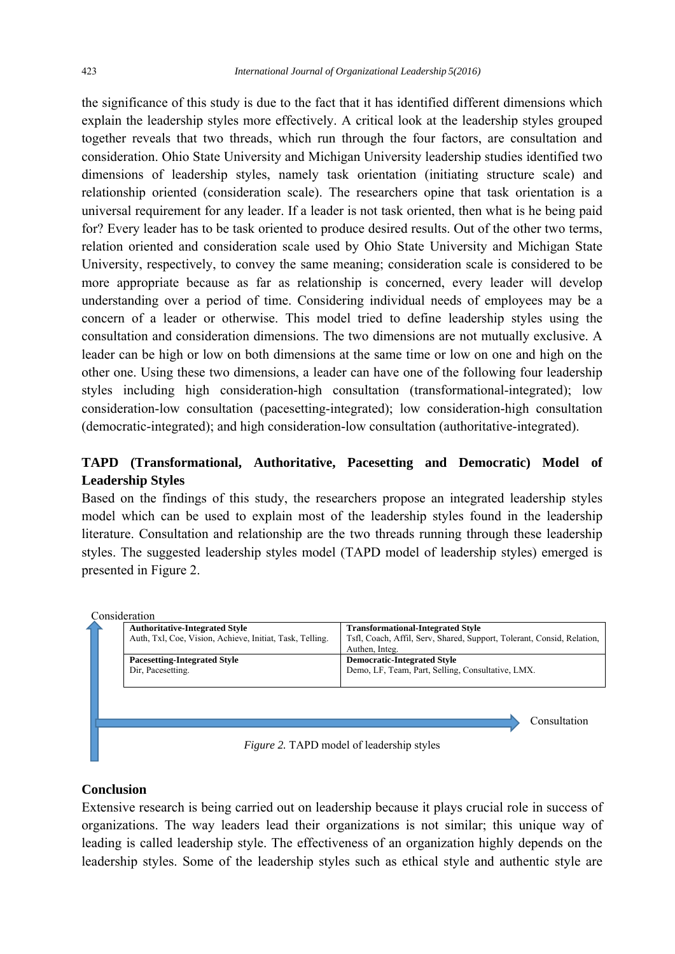the significance of this study is due to the fact that it has identified different dimensions which explain the leadership styles more effectively. A critical look at the leadership styles grouped together reveals that two threads, which run through the four factors, are consultation and consideration. Ohio State University and Michigan University leadership studies identified two dimensions of leadership styles, namely task orientation (initiating structure scale) and relationship oriented (consideration scale). The researchers opine that task orientation is a universal requirement for any leader. If a leader is not task oriented, then what is he being paid for? Every leader has to be task oriented to produce desired results. Out of the other two terms, relation oriented and consideration scale used by Ohio State University and Michigan State University, respectively, to convey the same meaning; consideration scale is considered to be more appropriate because as far as relationship is concerned, every leader will develop understanding over a period of time. Considering individual needs of employees may be a concern of a leader or otherwise. This model tried to define leadership styles using the consultation and consideration dimensions. The two dimensions are not mutually exclusive. A leader can be high or low on both dimensions at the same time or low on one and high on the other one. Using these two dimensions, a leader can have one of the following four leadership styles including high consideration-high consultation (transformational-integrated); low consideration-low consultation (pacesetting-integrated); low consideration-high consultation (democratic-integrated); and high consideration-low consultation (authoritative-integrated).

# **TAPD (Transformational, Authoritative, Pacesetting and Democratic) Model of Leadership Styles**

Based on the findings of this study, the researchers propose an integrated leadership styles model which can be used to explain most of the leadership styles found in the leadership literature. Consultation and relationship are the two threads running through these leadership styles. The suggested leadership styles model (TAPD model of leadership styles) emerged is presented in Figure 2.

|                                                  | Consideration                                            |                                                                        |  |  |
|--------------------------------------------------|----------------------------------------------------------|------------------------------------------------------------------------|--|--|
|                                                  | <b>Authoritative-Integrated Style</b>                    | <b>Transformational-Integrated Style</b>                               |  |  |
|                                                  | Auth, Txl, Coe, Vision, Achieve, Initiat, Task, Telling. | Tsfl, Coach, Affil, Serv, Shared, Support, Tolerant, Consid, Relation, |  |  |
|                                                  |                                                          | Authen, Integ.                                                         |  |  |
|                                                  | <b>Pacesetting-Integrated Style</b>                      | <b>Democratic-Integrated Style</b>                                     |  |  |
|                                                  | Dir, Pacesetting.                                        | Demo, LF, Team, Part, Selling, Consultative, LMX.                      |  |  |
|                                                  |                                                          |                                                                        |  |  |
|                                                  |                                                          |                                                                        |  |  |
|                                                  |                                                          |                                                                        |  |  |
| Consultation                                     |                                                          |                                                                        |  |  |
|                                                  |                                                          |                                                                        |  |  |
| <i>Figure 2.</i> TAPD model of leadership styles |                                                          |                                                                        |  |  |

# **Conclusion**

Extensive research is being carried out on leadership because it plays crucial role in success of organizations. The way leaders lead their organizations is not similar; this unique way of leading is called leadership style. The effectiveness of an organization highly depends on the leadership styles. Some of the leadership styles such as ethical style and authentic style are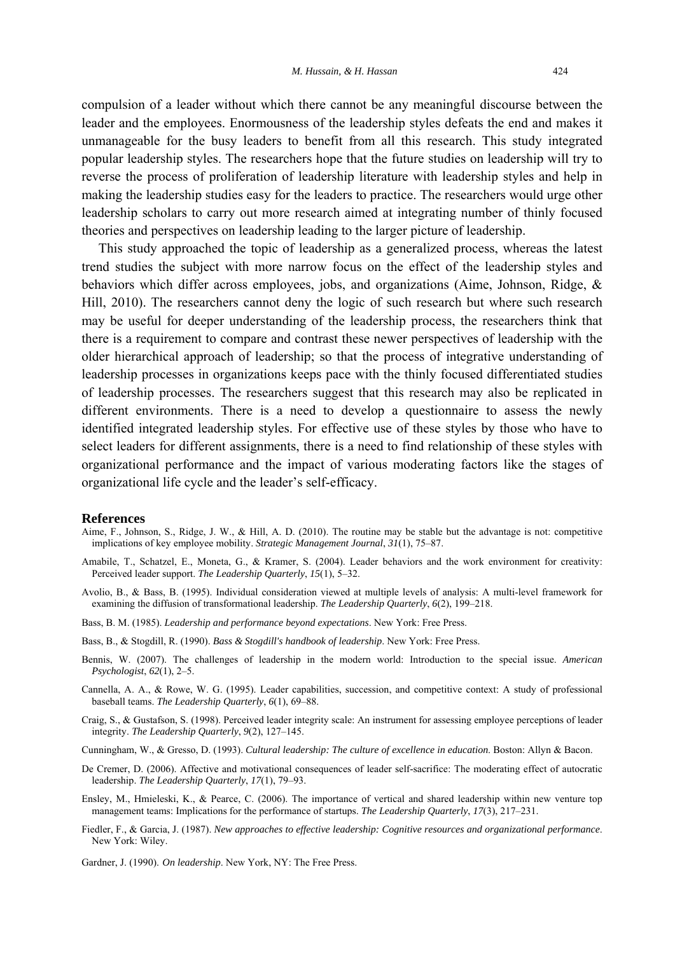compulsion of a leader without which there cannot be any meaningful discourse between the leader and the employees. Enormousness of the leadership styles defeats the end and makes it unmanageable for the busy leaders to benefit from all this research. This study integrated popular leadership styles. The researchers hope that the future studies on leadership will try to reverse the process of proliferation of leadership literature with leadership styles and help in making the leadership studies easy for the leaders to practice. The researchers would urge other leadership scholars to carry out more research aimed at integrating number of thinly focused theories and perspectives on leadership leading to the larger picture of leadership.

This study approached the topic of leadership as a generalized process, whereas the latest trend studies the subject with more narrow focus on the effect of the leadership styles and behaviors which differ across employees, jobs, and organizations (Aime, Johnson, Ridge, & Hill, 2010). The researchers cannot deny the logic of such research but where such research may be useful for deeper understanding of the leadership process, the researchers think that there is a requirement to compare and contrast these newer perspectives of leadership with the older hierarchical approach of leadership; so that the process of integrative understanding of leadership processes in organizations keeps pace with the thinly focused differentiated studies of leadership processes. The researchers suggest that this research may also be replicated in different environments. There is a need to develop a questionnaire to assess the newly identified integrated leadership styles. For effective use of these styles by those who have to select leaders for different assignments, there is a need to find relationship of these styles with organizational performance and the impact of various moderating factors like the stages of organizational life cycle and the leader's self-efficacy.

#### **References**

- Aime, F., Johnson, S., Ridge, J. W., & Hill, A. D. (2010). The routine may be stable but the advantage is not: competitive implications of key employee mobility. *Strategic Management Journal*, *31*(1), 75–87.
- Amabile, T., Schatzel, E., Moneta, G., & Kramer, S. (2004). Leader behaviors and the work environment for creativity: Perceived leader support. *The Leadership Quarterly*, *15*(1), 5–32.
- Avolio, B., & Bass, B. (1995). Individual consideration viewed at multiple levels of analysis: A multi-level framework for examining the diffusion of transformational leadership. *The Leadership Quarterly*, *6*(2), 199–218.
- Bass, B. M. (1985). *Leadership and performance beyond expectations*. New York: Free Press.
- Bass, B., & Stogdill, R. (1990). *Bass & Stogdill's handbook of leadership*. New York: Free Press.
- Bennis, W. (2007). The challenges of leadership in the modern world: Introduction to the special issue. *American Psychologist*, *62*(1), 2–5.
- Cannella, A. A., & Rowe, W. G. (1995). Leader capabilities, succession, and competitive context: A study of professional baseball teams. *The Leadership Quarterly*, *6*(1), 69–88.
- Craig, S., & Gustafson, S. (1998). Perceived leader integrity scale: An instrument for assessing employee perceptions of leader integrity. *The Leadership Quarterly*, *9*(2), 127–145.
- Cunningham, W., & Gresso, D. (1993). *Cultural leadership: The culture of excellence in education*. Boston: Allyn & Bacon.
- De Cremer, D. (2006). Affective and motivational consequences of leader self-sacrifice: The moderating effect of autocratic leadership. *The Leadership Quarterly*, *17*(1), 79–93.
- Ensley, M., Hmieleski, K., & Pearce, C. (2006). The importance of vertical and shared leadership within new venture top management teams: Implications for the performance of startups. *The Leadership Quarterly*, *17*(3), 217–231.
- Fiedler, F., & Garcia, J. (1987). *New approaches to effective leadership: Cognitive resources and organizational performance*. New York: Wiley.
- Gardner, J. (1990). *On leadership*. New York, NY: The Free Press.